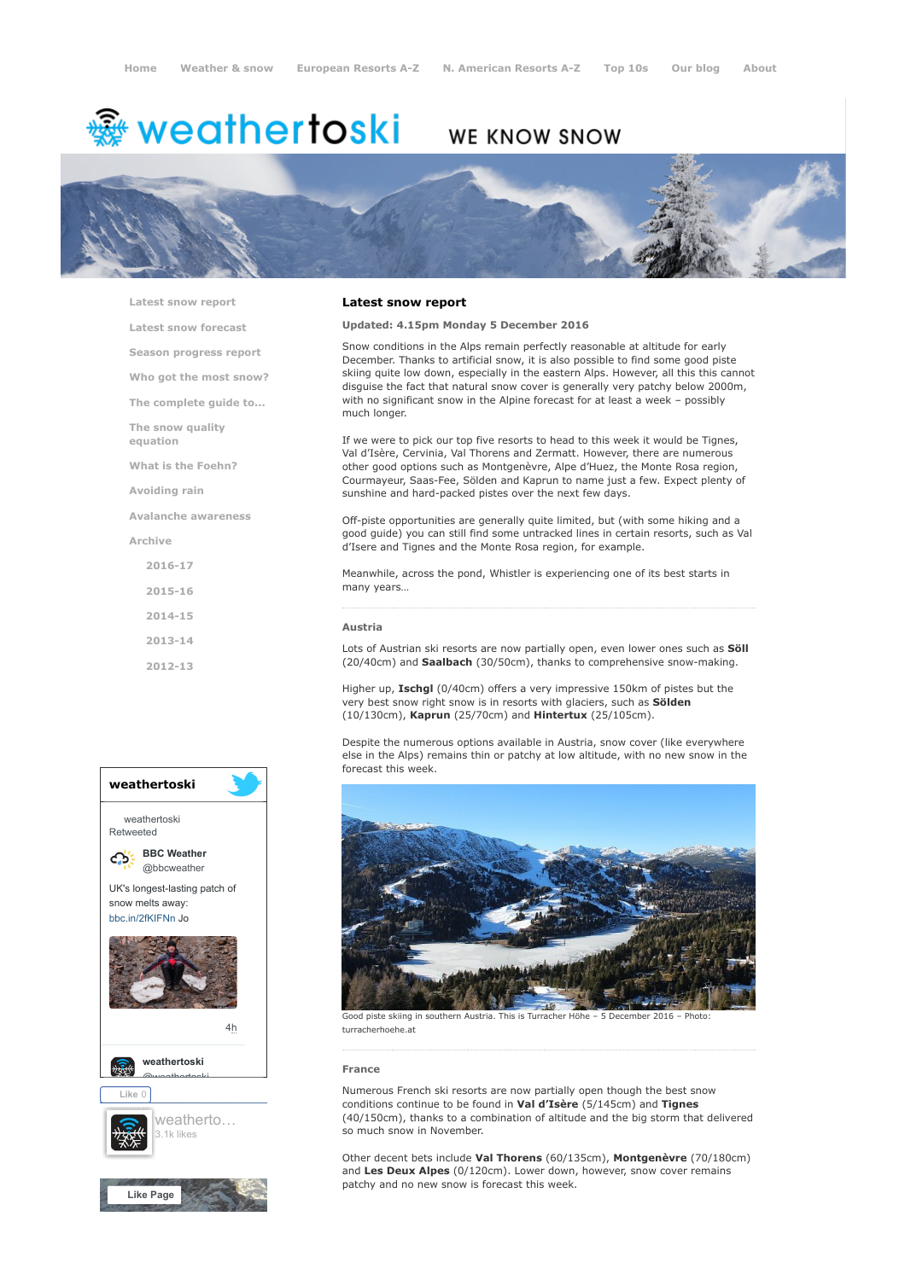# <del>鑾</del> weathertoski

# WE KNOW SNOW



[Latest snow report](https://www.weathertoski.co.uk/weather-snow/latest-snow-report/)

[Latest snow forecast](https://www.weathertoski.co.uk/weather-snow/latest-snow-forecast/)

[Season progress report](https://www.weathertoski.co.uk/weather-snow/season-progress-report/)

[Who got the most snow?](https://www.weathertoski.co.uk/weather-snow/who-got-the-most-snow/)

[The complete guide to...](https://www.weathertoski.co.uk/weather-snow/the-complete-guide-to/)

[The snow quality](https://www.weathertoski.co.uk/weather-snow/the-snow-quality-equation/)

[What is the Foehn?](https://www.weathertoski.co.uk/weather-snow/what-is-the-foehn/)

[Avoiding rain](https://www.weathertoski.co.uk/weather-snow/avoiding-rain/)

equation

[Avalanche awareness](https://www.weathertoski.co.uk/weather-snow/avalanche-awareness/)

[Archive](https://www.weathertoski.co.uk/weather-snow/archive/)

- [2016-17](https://www.weathertoski.co.uk/weather-snow/archive/2016-17/)
- [2015-16](https://www.weathertoski.co.uk/weather-snow/archive/2015-16/)
- [2014-15](https://www.weathertoski.co.uk/weather-snow/archive/2014-15/)
- [2013-14](https://www.weathertoski.co.uk/weather-snow/archive/2013-14/)

[2012-13](https://www.weathertoski.co.uk/weather-snow/archive/2012-13/)



# Latest snow report

#### Updated: 4.15pm Monday 5 December 2016

Snow conditions in the Alps remain perfectly reasonable at altitude for early December. Thanks to artificial snow, it is also possible to find some good piste skiing quite low down, especially in the eastern Alps. However, all this this cannot disguise the fact that natural snow cover is generally very patchy below 2000m, with no significant snow in the Alpine forecast for at least a week – possibly much longer.

If we were to pick our top five resorts to head to this week it would be Tignes, Val d'Isère, Cervinia, Val Thorens and Zermatt. However, there are numerous other good options such as Montgenèvre, Alpe d'Huez, the Monte Rosa region, Courmayeur, Saas-Fee, Sölden and Kaprun to name just a few. Expect plenty of sunshine and hard-packed pistes over the next few days.

Off-piste opportunities are generally quite limited, but (with some hiking and a good guide) you can still find some untracked lines in certain resorts, such as Val d'Isere and Tignes and the Monte Rosa region, for example.

Meanwhile, across the pond, Whistler is experiencing one of its best starts in many years…

#### Austria

Lots of Austrian ski resorts are now partially open, even lower ones such as Söll (20/40cm) and Saalbach (30/50cm), thanks to comprehensive snow-making.

Higher up, Ischgl (0/40cm) offers a very impressive 150km of pistes but the very best snow right snow is in resorts with glaciers, such as Sölden (10/130cm), Kaprun (25/70cm) and Hintertux (25/105cm).

Despite the numerous options available in Austria, snow cover (like everywhere else in the Alps) remains thin or patchy at low altitude, with no new snow in the forecast this week.



Good piste skiing in southern Austria. This is Turracher Höhe – 5 December 2016 – Photo: turracherhoehe.at

#### France

Numerous French ski resorts are now partially open though the best snow conditions continue to be found in Val d'Isère (5/145cm) and Tignes (40/150cm), thanks to a combination of altitude and the big storm that delivered so much snow in November.

Other decent bets include Val Thorens (60/135cm), Montgenèvre (70/180cm) and Les Deux Alpes (0/120cm). Lower down, however, snow cover remains patchy and no new snow is forecast this week.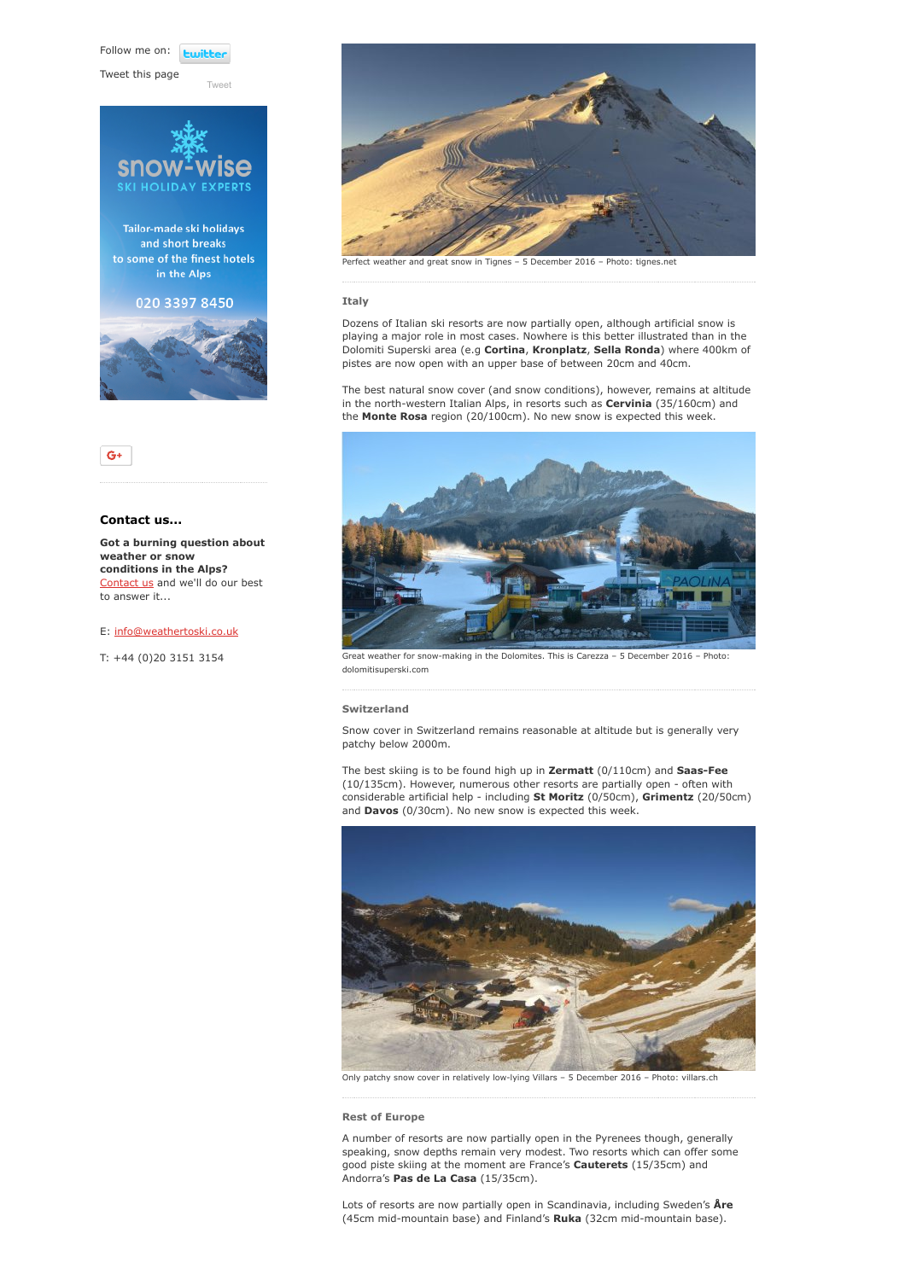Follow me on: **Lwitte** 

Tweet this page

[Tweet](https://twitter.com/intent/tweet?original_referer=https%3A%2F%2Fwww.weathertoski.co.uk%2Fweather-snow%2Farchive%2Fsnow-report-05-12-2016%2F&ref_src=twsrc%5Etfw&text=Weather%20to%20ski%20-%20Snow%20report%20-%205%20December%202016&tw_p=tweetbutton&url=https%3A%2F%2Fwww.weathertoski.co.uk%2Fweather-snow%2Farchive%2Fsnow-report-05-12-2016%2F)







# Contact us...

Got a burning question about weather or snow conditions in the Alps? [Contact us](https://www.weathertoski.co.uk/about-1/contact-us/) and we'll do our best to answer it...

### E: [info@weathertoski.co.uk](mailto:fraser@weathertoski.co.uk)

T: +44 (0)20 3151 3154



eather and great snow in Tignes – 5 December 2016 – Photo: tignes.net

### Italy

Dozens of Italian ski resorts are now partially open, although artificial snow is playing a major role in most cases. Nowhere is this better illustrated than in the Dolomiti Superski area (e.g Cortina, Kronplatz, Sella Ronda) where 400km of pistes are now open with an upper base of between 20cm and 40cm.

The best natural snow cover (and snow conditions), however, remains at altitude in the north-western Italian Alps, in resorts such as Cervinia (35/160cm) and the Monte Rosa region (20/100cm). No new snow is expected this week.



Great weather for snow-making in the Dolomites. This is Carezza – 5 December 2016 – Photo: dolomitisuperski.com

## Switzerland

Snow cover in Switzerland remains reasonable at altitude but is generally very patchy below 2000m.

The best skiing is to be found high up in Zermatt (0/110cm) and Saas-Fee (10/135cm). However, numerous other resorts are partially open - often with considerable artificial help - including St Moritz (0/50cm), Grimentz (20/50cm) and **Davos** (0/30cm). No new snow is expected this week.



Only patchy snow cover in relatively low-lying Villars – 5 December 2016 – Photo: villars.ch

#### Rest of Europe

A number of resorts are now partially open in the Pyrenees though, generally speaking, snow depths remain very modest. Two resorts which can offer some good piste skiing at the moment are France's Cauterets (15/35cm) and Andorra's Pas de La Casa (15/35cm).

Lots of resorts are now partially open in Scandinavia, including Sweden's Åre (45cm mid-mountain base) and Finland's Ruka (32cm mid-mountain base).